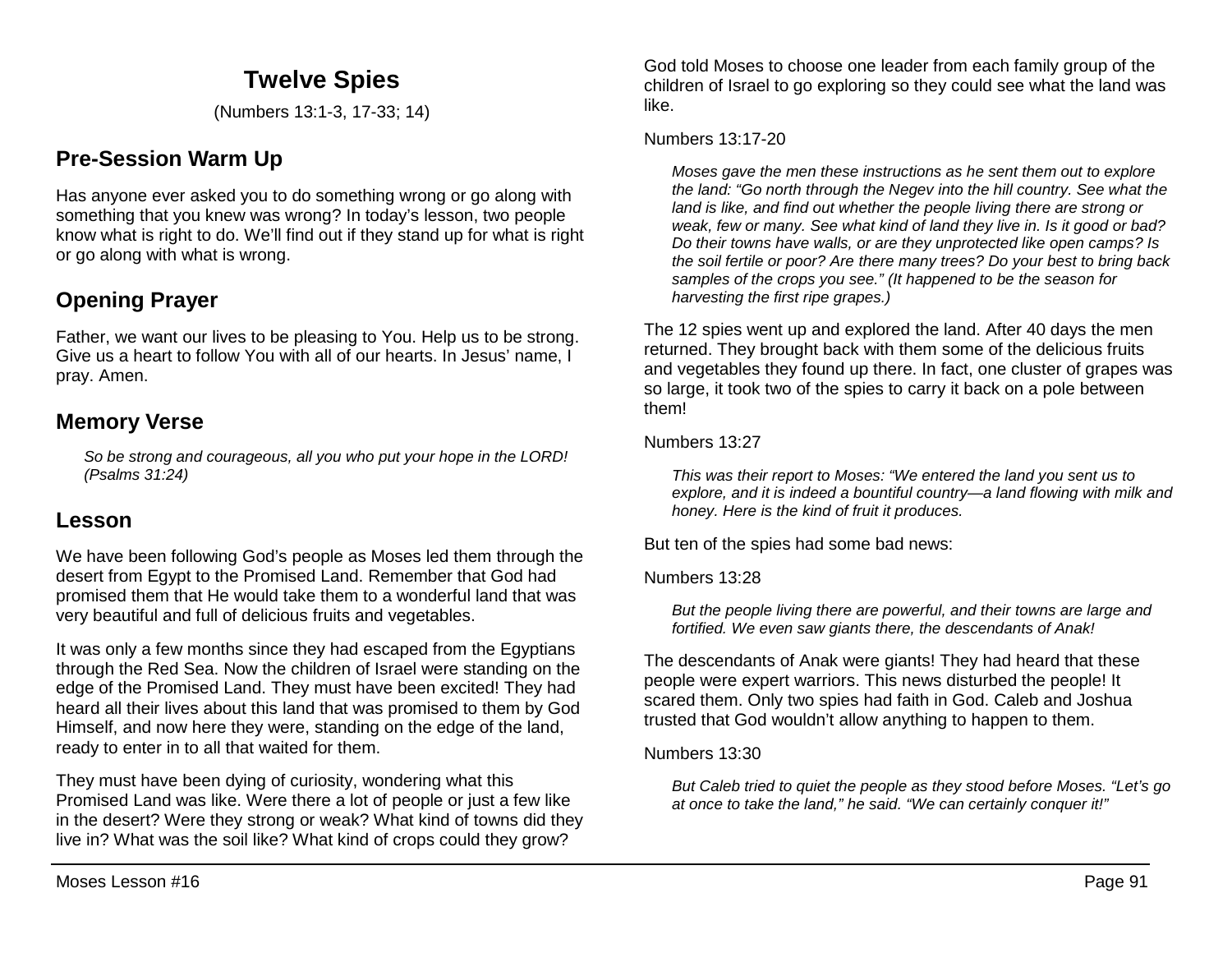# **Twelve Spies**

(Numbers 13:1-3, 17-33; 14)

### **Pre-Session Warm Up**

Has anyone ever asked you to do something wrong or go along with something that you knew was wrong? In today's lesson, two people know what is right to do. We'll find out if they stand up for what is right or go along with what is wrong.

# **Opening Prayer**

Father, we want our lives to be pleasing to You. Help us to be strong. Give us a heart to follow You with all of our hearts. In Jesus' name, I pray. Amen.

### **Memory Verse**

*So be strong and courageous, all you who put your hope in the LORD! (Psalms 31:24)*

### **Lesson**

We have been following God's people as Moses led them through the desert from Egypt to the Promised Land. Remember that God had promised them that He would take them to a wonderful land that was very beautiful and full of delicious fruits and vegetables.

It was only a few months since they had escaped from the Egyptians through the Red Sea. Now the children of Israel were standing on the edge of the Promised Land. They must have been excited! They had heard all their lives about this land that was promised to them by God Himself, and now here they were, standing on the edge of the land, ready to enter in to all that waited for them.

They must have been dying of curiosity, wondering what this Promised Land was like. Were there a lot of people or just a few like in the desert? Were they strong or weak? What kind of towns did they live in? What was the soil like? What kind of crops could they grow?

God told Moses to choose one leader from each family group of the children of Israel to go exploring so they could see what the land was like.

#### Numbers 13:17-20

*Moses gave the men these instructions as he sent them out to explore the land: "Go north through the Negev into the hill country. See what the land is like, and find out whether the people living there are strong or weak, few or many. See what kind of land they live in. Is it good or bad? Do their towns have walls, or are they unprotected like open camps? Is the soil fertile or poor? Are there many trees? Do your best to bring back samples of the crops you see." (It happened to be the season for harvesting the first ripe grapes.)* 

The 12 spies went up and explored the land. After 40 days the men returned. They brought back with them some of the delicious fruits and vegetables they found up there. In fact, one cluster of grapes was so large, it took two of the spies to carry it back on a pole between them!

#### Numbers 13:27

*This was their report to Moses: "We entered the land you sent us to explore, and it is indeed a bountiful country—a land flowing with milk and honey. Here is the kind of fruit it produces.*

But ten of the spies had some bad news:

Numbers 13:28

*But the people living there are powerful, and their towns are large and fortified. We even saw giants there, the descendants of Anak!*

The descendants of Anak were giants! They had heard that these people were expert warriors. This news disturbed the people! It scared them. Only two spies had faith in God. Caleb and Joshua trusted that God wouldn't allow anything to happen to them.

#### Numbers 13:30

*But Caleb tried to quiet the people as they stood before Moses. "Let's go at once to take the land," he said. "We can certainly conquer it!"*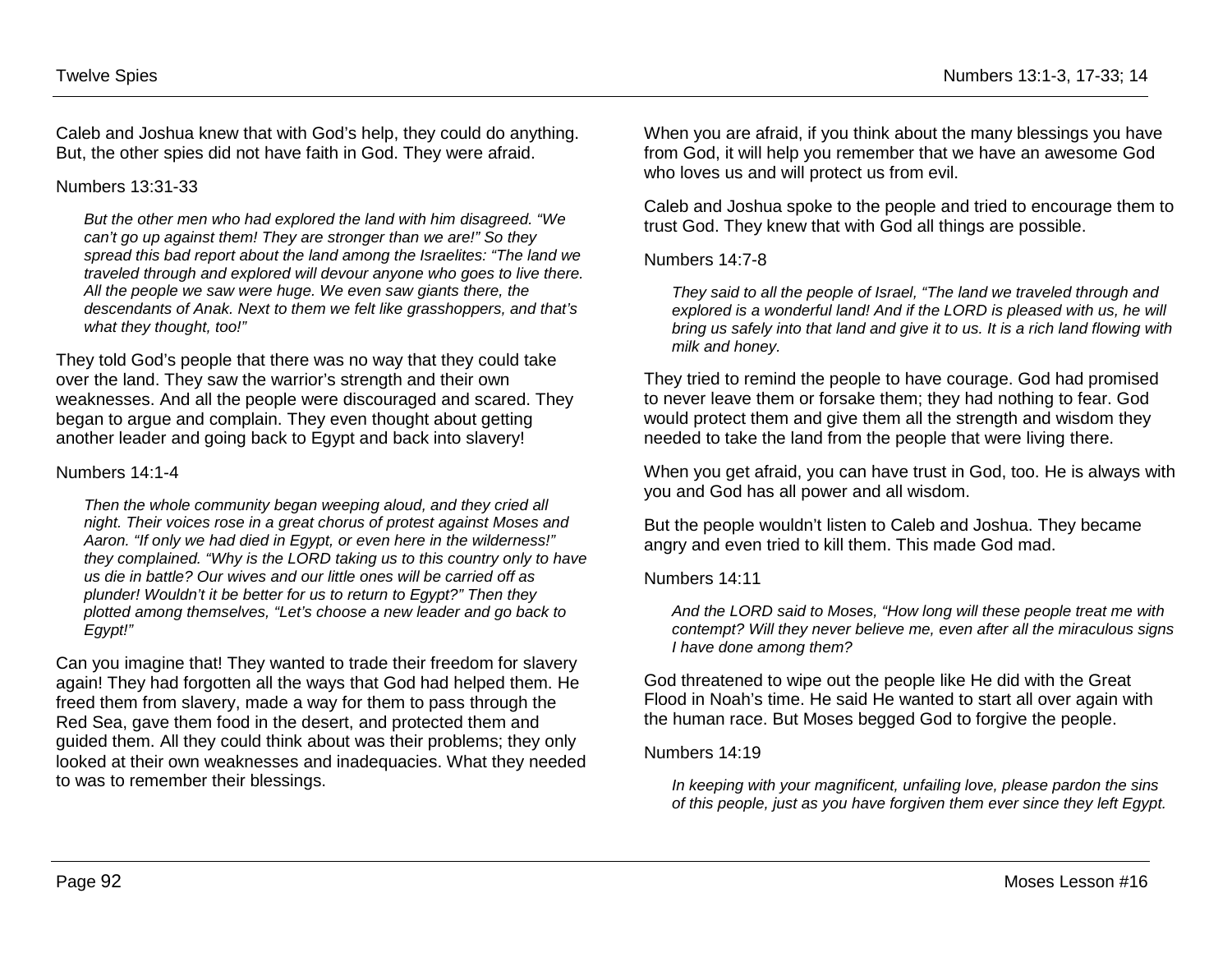Caleb and Joshua knew that with God's help, they could do anything. But, the other spies did not have faith in God. They were afraid.

#### Numbers 13:31-33

*But the other men who had explored the land with him disagreed. "We can't go up against them! They are stronger than we are!" So they spread this bad report about the land among the Israelites: "The land we traveled through and explored will devour anyone who goes to live there. All the people we saw were huge. We even saw giants there, the descendants of Anak. Next to them we felt like grasshoppers, and that's what they thought, too!"* 

They told God's people that there was no way that they could take over the land. They saw the warrior's strength and their own weaknesses. And all the people were discouraged and scared. They began to argue and complain. They even thought about getting another leader and going back to Egypt and back into slavery!

#### Numbers 14:1-4

*Then the whole community began weeping aloud, and they cried all night. Their voices rose in a great chorus of protest against Moses and Aaron. "If only we had died in Egypt, or even here in the wilderness!" they complained. "Why is the LORD taking us to this country only to have us die in battle? Our wives and our little ones will be carried off as plunder! Wouldn't it be better for us to return to Egypt?" Then they plotted among themselves, "Let's choose a new leader and go back to Egypt!"* 

Can you imagine that! They wanted to trade their freedom for slavery again! They had forgotten all the ways that God had helped them. He freed them from slavery, made a way for them to pass through the Red Sea, gave them food in the desert, and protected them and guided them. All they could think about was their problems; they only looked at their own weaknesses and inadequacies. What they needed to was to remember their blessings.

When you are afraid, if you think about the many blessings you have from God, it will help you remember that we have an awesome God who loves us and will protect us from evil.

Caleb and Joshua spoke to the people and tried to encourage them to trust God. They knew that with God all things are possible.

#### Numbers 14:7-8

*They said to all the people of Israel, "The land we traveled through and explored is a wonderful land! And if the LORD is pleased with us, he will bring us safely into that land and give it to us. It is a rich land flowing with milk and honey.* 

They tried to remind the people to have courage. God had promised to never leave them or forsake them; they had nothing to fear. God would protect them and give them all the strength and wisdom they needed to take the land from the people that were living there.

When you get afraid, you can have trust in God, too. He is always with you and God has all power and all wisdom.

But the people wouldn't listen to Caleb and Joshua. They became angry and even tried to kill them. This made God mad.

#### Numbers 14:11

*And the LORD said to Moses, "How long will these people treat me with contempt? Will they never believe me, even after all the miraculous signs I have done among them?* 

God threatened to wipe out the people like He did with the Great Flood in Noah's time. He said He wanted to start all over again with the human race. But Moses begged God to forgive the people.

#### Numbers 14:19

*In keeping with your magnificent, unfailing love, please pardon the sins of this people, just as you have forgiven them ever since they left Egypt.*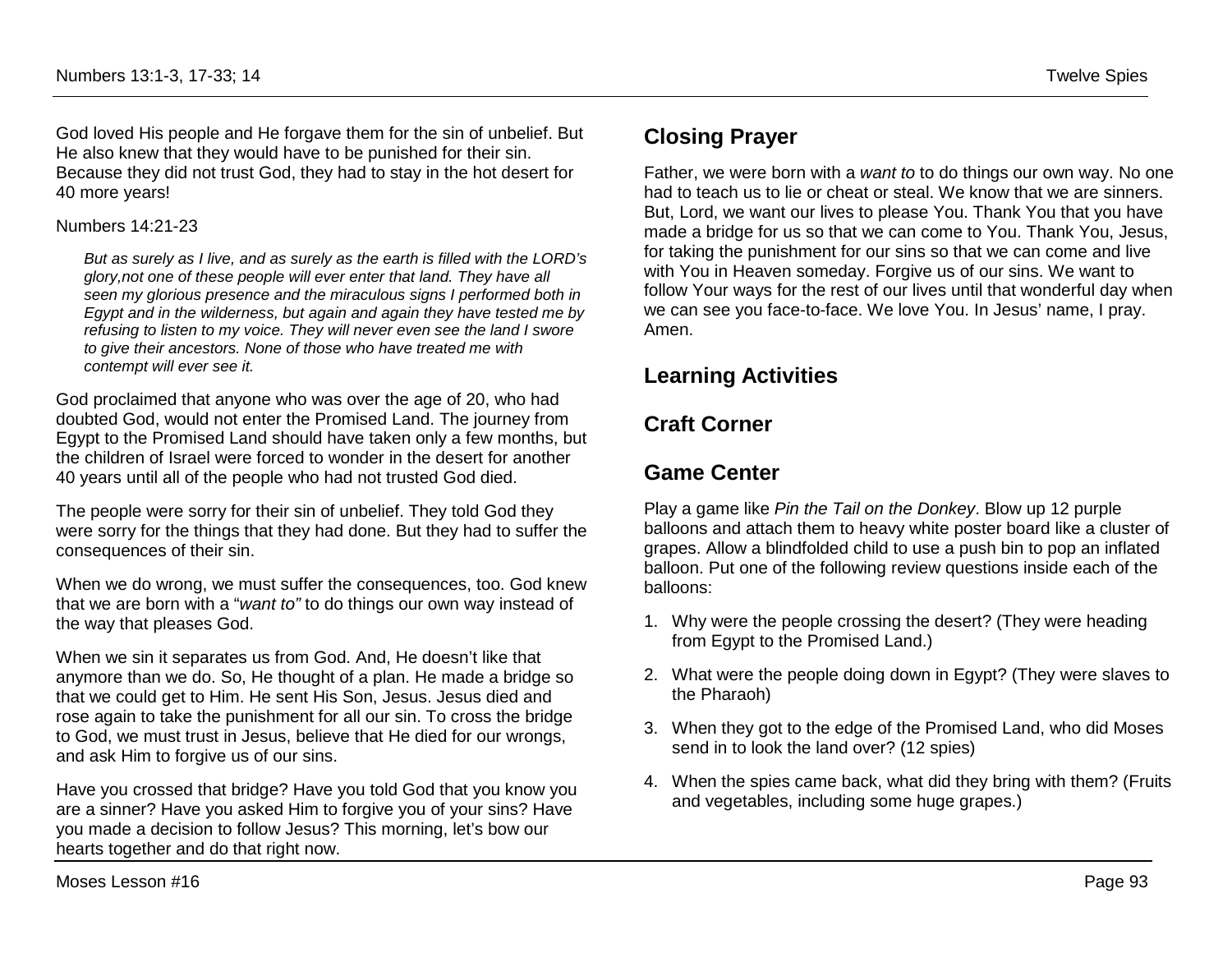God loved His people and He forgave them for the sin of unbelief. But He also knew that they would have to be punished for their sin. Because they did not trust God, they had to stay in the hot desert for 40 more years!

#### Numbers 14:21-23

*But as surely as I live, and as surely as the earth is filled with the LORD's glory,not one of these people will ever enter that land. They have all seen my glorious presence and the miraculous signs I performed both in Egypt and in the wilderness, but again and again they have tested me by refusing to listen to my voice. They will never even see the land I swore to give their ancestors. None of those who have treated me with contempt will ever see it.* 

God proclaimed that anyone who was over the age of 20, who had doubted God, would not enter the Promised Land. The journey from Egypt to the Promised Land should have taken only a few months, but the children of Israel were forced to wonder in the desert for another 40 years until all of the people who had not trusted God died.

The people were sorry for their sin of unbelief. They told God they were sorry for the things that they had done. But they had to suffer the consequences of their sin.

When we do wrong, we must suffer the consequences, too. God knew that we are born with a "*want to"* to do things our own way instead of the way that pleases God.

When we sin it separates us from God. And, He doesn't like that anymore than we do. So, He thought of a plan. He made a bridge so that we could get to Him. He sent His Son, Jesus. Jesus died and rose again to take the punishment for all our sin. To cross the bridge to God, we must trust in Jesus, believe that He died for our wrongs, and ask Him to forgive us of our sins.

Have you crossed that bridge? Have you told God that you know you are a sinner? Have you asked Him to forgive you of your sins? Have you made a decision to follow Jesus? This morning, let's bow our hearts together and do that right now.

## **Closing Prayer**

Father, we were born with a *want to* to do things our own way. No one had to teach us to lie or cheat or steal. We know that we are sinners. But, Lord, we want our lives to please You. Thank You that you have made a bridge for us so that we can come to You. Thank You, Jesus, for taking the punishment for our sins so that we can come and live with You in Heaven someday. Forgive us of our sins. We want to follow Your ways for the rest of our lives until that wonderful day when we can see you face-to-face. We love You. In Jesus' name, I pray. Amen.

## **Learning Activities**

# **Craft Corner**

## **Game Center**

Play a game like *Pin the Tail on the Donkey*. Blow up 12 purple balloons and attach them to heavy white poster board like a cluster of grapes. Allow a blindfolded child to use a push bin to pop an inflated balloon. Put one of the following review questions inside each of the balloons:

- 1. Why were the people crossing the desert? (They were heading from Egypt to the Promised Land.)
- 2. What were the people doing down in Egypt? (They were slaves to the Pharaoh)
- 3. When they got to the edge of the Promised Land, who did Moses send in to look the land over? (12 spies)
- 4. When the spies came back, what did they bring with them? (Fruits and vegetables, including some huge grapes.)